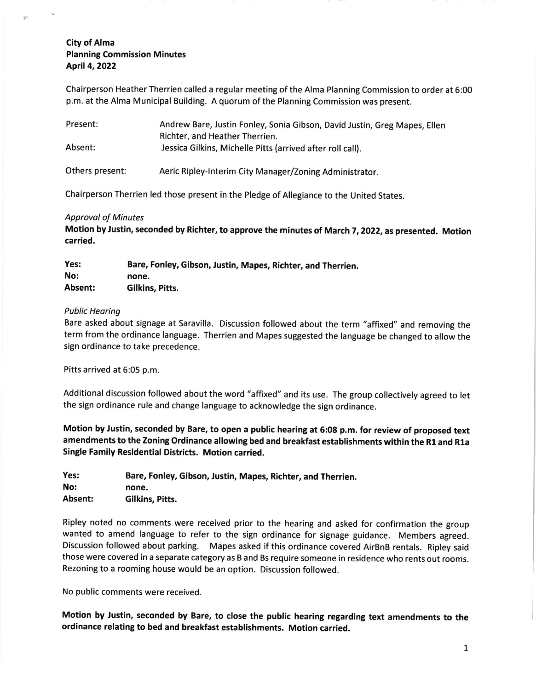# City of Alma Planning Commission Minutes Aptil 4,2022

Chairperson Heather Therrien called a regular meeting of the Alma Planning Commission to order at 6:00 p.m. at the Alma Municipal Building. A quorum of the Planning Commission was present.

| Present:        | Andrew Bare, Justin Fonley, Sonia Gibson, David Justin, Greg Mapes, Ellen<br>Richter, and Heather Therrien. |
|-----------------|-------------------------------------------------------------------------------------------------------------|
| Absent:         | Jessica Gilkins, Michelle Pitts (arrived after roll call).                                                  |
| Others present: | Aeric Ripley-Interim City Manager/Zoning Administrator.                                                     |

Chairperson Therrien led those present in the Pledge of Allegiance to the United States.

## Approvol of Minutes

Motion by Justin, seconded by Richter, to approve the minutes of March 7, 2022, as presented. Motion carried,

| Yes:    | Bare, Fonley, Gibson, Justin, Mapes, Richter, and Therrien. |
|---------|-------------------------------------------------------------|
| No:     | none.                                                       |
| Absent: | Gilkins, Pitts.                                             |

## Public Heoring

Bare asked about signage at Saravilla. Discussion followed about the term "affixed" and removing the term from the ordinance language. Therrien and Mapes suggested the language be changed to allow the sign ordinance to take precedence.

Pitts arrived at 6:05 p.m.

Additional discussion followed about the word "affixed" and its use. The group collectively agreed to let the sign ordinance rule and change language to acknowledge the sign ordinance.

Motion by Justin, seconded by Bare, to open a public hearing at G:08 p.m. for review of proposed text amendments to the Zoning Ordinance allowing bed and breakfast establishments within the R1 and R1a Single Family Residential Districts, Motion carried.

| Yes:    | Bare, Fonley, Gibson, Justin, Mapes, Richter, and Therrien. |
|---------|-------------------------------------------------------------|
| No:     | none.                                                       |
| Absent: | Gilkins. Pitts.                                             |

Ripley noted no comments were received prior to the hearing and asked for confirmation the group wanted to amend language to refer to the sign ordinance for signage guidance. Members agreed. Discussion followed about parking. Mapes asked if this ordinance covered AirBnB rentals. Ripley said those were covered in a separate category as B and Bs require someone in residence who rents out rooms. Rezoning to a rooming house would be an option. Discussion followed.

No public comments were received

Motion by Justin, seconded by Bare, to close the public hearing regarding text amendments to the ordinance relating to bed and breakfast establishments. Motion carried.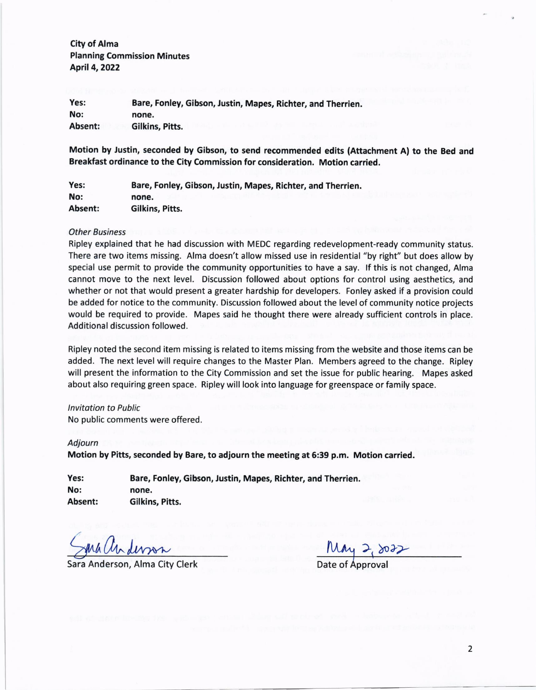City of Alma Planning Commission Minutes April 4,2O22

Bare, Fonley, Gibson, Justin, Mapes, Richter, and Therrien. none. Gilkins, Pitts. Yes: No: Absent:

Motion by Justin, seconded by Gibson, to send recommended edits (Attachment A) to the Bed and Breakfast ordinance to the City Commission for consideration. Motion carried.

Yes: No: Absent: Bare, Fonley, Gibson, Justin, Mapes, Richter, and Therrien. none, Gilkins, Pitts.

#### Other Business

Ripley explained that he had discussion with MEDC regarding redevelopment-ready community status. There are two items missing. Alma doesn't allow missed use in residential "by right" but does allow by special use permit to provide the community opportunities to have a say. lf this is not changed, Alma cannot move to the next level. Discussion followed about options for control using aesthetics, and whether or not that would present a greater hardship for developers. Fonley asked if a provision could be added for notice to the community. Discussion followed about the level of community notice projects would be required to provide. Mapes said he thought there were already sufficient controls in place. Additional discussion followed.

Ripley noted the second item missing is related to items missing from the website and those items can be added. The next level will require changes to the Master Plan. Members agreed to the change. Ripley will present the information to the City Commission and set the issue for public hearing. Mapes asked about also requiring green space. Ripley will look into language for greenspace or family space.

### lnvitation to Public

No public comments were offered.

#### Adjourn

Motion by Pitts, seconded by Bare, to adjourn the meeting at 6:39 p.m. Motion carried.

| Yes:    | Bare, Fonley, Gibson, Justin, Mapes, Richter, and Therrien. |
|---------|-------------------------------------------------------------|
| No:     | none.                                                       |
| Absent: | Gilkins, Pitts.                                             |

 $a_{\text{w}}$   $a_{\text{w}}$   $a_{\text{w}}$   $a_{\text{w}}$   $a_{\text{w}}$   $a_{\text{w}}$ 

Sara Anderson, Alma City Clerk